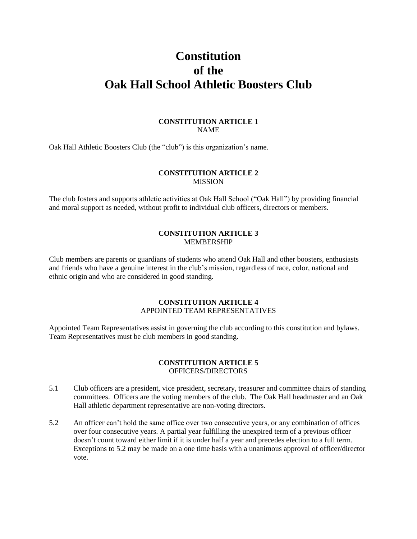# **Constitution of the Oak Hall School Athletic Boosters Club**

# **CONSTITUTION ARTICLE 1** NAME

Oak Hall Athletic Boosters Club (the "club") is this organization's name.

# **CONSTITUTION ARTICLE 2** MISSION

The club fosters and supports athletic activities at Oak Hall School ("Oak Hall") by providing financial and moral support as needed, without profit to individual club officers, directors or members.

# **CONSTITUTION ARTICLE 3** MEMBERSHIP

Club members are parents or guardians of students who attend Oak Hall and other boosters, enthusiasts and friends who have a genuine interest in the club's mission, regardless of race, color, national and ethnic origin and who are considered in good standing.

# **CONSTITUTION ARTICLE 4** APPOINTED TEAM REPRESENTATIVES

Appointed Team Representatives assist in governing the club according to this constitution and bylaws. Team Representatives must be club members in good standing.

# **CONSTITUTION ARTICLE 5** OFFICERS/DIRECTORS

- 5.1 Club officers are a president, vice president, secretary, treasurer and committee chairs of standing committees. Officers are the voting members of the club. The Oak Hall headmaster and an Oak Hall athletic department representative are non-voting directors.
- 5.2 An officer can't hold the same office over two consecutive years, or any combination of offices over four consecutive years. A partial year fulfilling the unexpired term of a previous officer doesn't count toward either limit if it is under half a year and precedes election to a full term. Exceptions to 5.2 may be made on a one time basis with a unanimous approval of officer/director vote.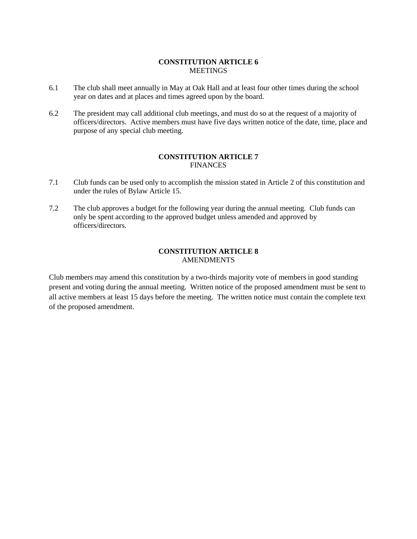# **CONSTITUTION ARTICLE 6** MEETINGS

- 6.1 The club shall meet annually in May at Oak Hall and at least four other times during the school year on dates and at places and times agreed upon by the board.
- 6.2 The president may call additional club meetings, and must do so at the request of a majority of officers/directors. Active members must have five days written notice of the date, time, place and purpose of any special club meeting.

# **CONSTITUTION ARTICLE 7** FINANCES

- 7.1 Club funds can be used only to accomplish the mission stated in Article 2 of this constitution and under the rules of Bylaw Article 15.
- 7.2 The club approves a budget for the following year during the annual meeting. Club funds can only be spent according to the approved budget unless amended and approved by officers/directors.

#### **CONSTITUTION ARTICLE 8** AMENDMENTS

Club members may amend this constitution by a two-thirds majority vote of members in good standing present and voting during the annual meeting. Written notice of the proposed amendment must be sent to all active members at least 15 days before the meeting. The written notice must contain the complete text of the proposed amendment.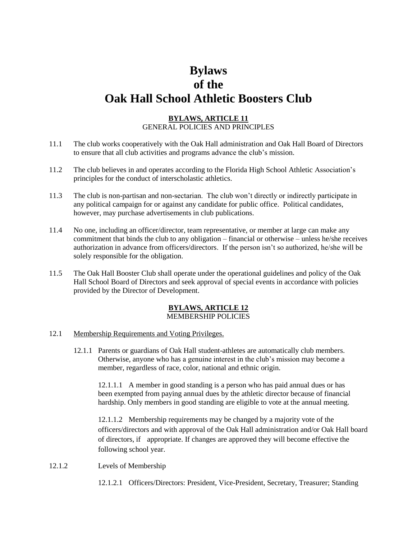# **Bylaws of the Oak Hall School Athletic Boosters Club**

# **BYLAWS, ARTICLE 11** GENERAL POLICIES AND PRINCIPLES

- 11.1 The club works cooperatively with the Oak Hall administration and Oak Hall Board of Directors to ensure that all club activities and programs advance the club's mission.
- 11.2 The club believes in and operates according to the Florida High School Athletic Association's principles for the conduct of interscholastic athletics.
- 11.3 The club is non-partisan and non-sectarian. The club won't directly or indirectly participate in any political campaign for or against any candidate for public office. Political candidates, however, may purchase advertisements in club publications.
- 11.4 No one, including an officer/director, team representative, or member at large can make any commitment that binds the club to any obligation – financial or otherwise – unless he/she receives authorization in advance from officers/directors. If the person isn't so authorized, he/she will be solely responsible for the obligation.
- 11.5 The Oak Hall Booster Club shall operate under the operational guidelines and policy of the Oak Hall School Board of Directors and seek approval of special events in accordance with policies provided by the Director of Development.

#### **BYLAWS, ARTICLE 12** MEMBERSHIP POLICIES

#### 12.1 Membership Requirements and Voting Privileges.

12.1.1 Parents or guardians of Oak Hall student-athletes are automatically club members. Otherwise, anyone who has a genuine interest in the club's mission may become a member, regardless of race, color, national and ethnic origin.

12.1.1.1 A member in good standing is a person who has paid annual dues or has been exempted from paying annual dues by the athletic director because of financial hardship. Only members in good standing are eligible to vote at the annual meeting.

12.1.1.2 Membership requirements may be changed by a majority vote of the officers/directors and with approval of the Oak Hall administration and/or Oak Hall board of directors, if appropriate. If changes are approved they will become effective the following school year.

- 12.1.2 Levels of Membership
	- 12.1.2.1 Officers/Directors: President, Vice-President, Secretary, Treasurer; Standing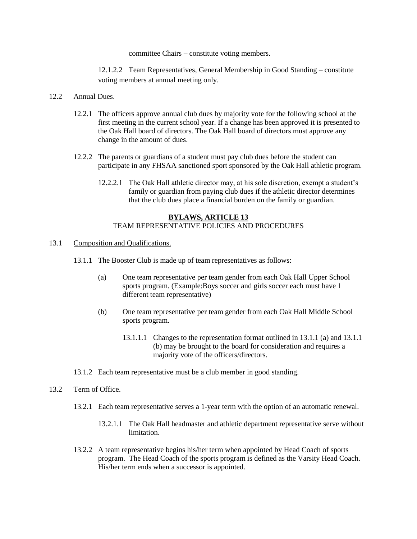committee Chairs – constitute voting members.

12.1.2.2 Team Representatives, General Membership in Good Standing – constitute voting members at annual meeting only.

#### 12.2 Annual Dues.

- 12.2.1 The officers approve annual club dues by majority vote for the following school at the first meeting in the current school year. If a change has been approved it is presented to the Oak Hall board of directors. The Oak Hall board of directors must approve any change in the amount of dues.
- 12.2.2 The parents or guardians of a student must pay club dues before the student can participate in any FHSAA sanctioned sport sponsored by the Oak Hall athletic program.
	- 12.2.2.1 The Oak Hall athletic director may, at his sole discretion, exempt a student's family or guardian from paying club dues if the athletic director determines that the club dues place a financial burden on the family or guardian.

# **BYLAWS, ARTICLE 13** TEAM REPRESENTATIVE POLICIES AND PROCEDURES

- 13.1 Composition and Qualifications.
	- 13.1.1 The Booster Club is made up of team representatives as follows:
		- (a) One team representative per team gender from each Oak Hall Upper School sports program. (Example:Boys soccer and girls soccer each must have 1 different team representative)
		- (b) One team representative per team gender from each Oak Hall Middle School sports program.
			- 13.1.1.1 Changes to the representation format outlined in 13.1.1 (a) and 13.1.1 (b) may be brought to the board for consideration and requires a majority vote of the officers/directors.
	- 13.1.2 Each team representative must be a club member in good standing.

#### 13.2 Term of Office.

- 13.2.1 Each team representative serves a 1-year term with the option of an automatic renewal.
	- 13.2.1.1 The Oak Hall headmaster and athletic department representative serve without limitation.
- 13.2.2 A team representative begins his/her term when appointed by Head Coach of sports program. The Head Coach of the sports program is defined as the Varsity Head Coach. His/her term ends when a successor is appointed.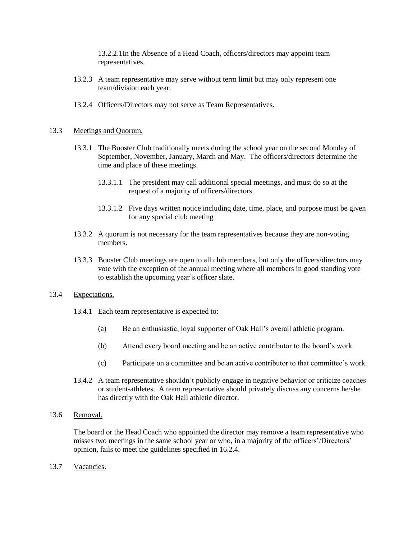13.2.2.1In the Absence of a Head Coach, officers/directors may appoint team representatives.

- 13.2.3 A team representative may serve without term limit but may only represent one team/division each year.
- 13.2.4 Officers/Directors may not serve as Team Representatives.

#### 13.3 Meetings and Quorum.

- 13.3.1 The Booster Club traditionally meets during the school year on the second Monday of September, November, January, March and May. The officers/directors determine the time and place of these meetings.
	- 13.3.1.1 The president may call additional special meetings, and must do so at the request of a majority of officers/directors.
	- 13.3.1.2 Five days written notice including date, time, place, and purpose must be given for any special club meeting
- 13.3.2 A quorum is not necessary for the team representatives because they are non-voting members.
- 13.3.3 Booster Club meetings are open to all club members, but only the officers/directors may vote with the exception of the annual meeting where all members in good standing vote to establish the upcoming year's officer slate.

#### 13.4 Expectations.

- 13.4.1 Each team representative is expected to:
	- (a) Be an enthusiastic, loyal supporter of Oak Hall's overall athletic program.
	- (b) Attend every board meeting and be an active contributor to the board's work.
	- (c) Participate on a committee and be an active contributor to that committee's work.
- 13.4.2 A team representative shouldn't publicly engage in negative behavior or criticize coaches or student-athletes. A team representative should privately discuss any concerns he/she has directly with the Oak Hall athletic director.

# 13.6 Removal.

The board or the Head Coach who appointed the director may remove a team representative who misses two meetings in the same school year or who, in a majority of the officers'/Directors' opinion, fails to meet the guidelines specified in 16.2.4.

13.7 Vacancies.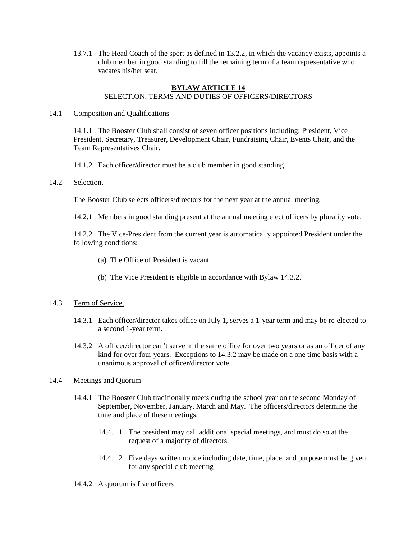13.7.1 The Head Coach of the sport as defined in 13.2.2, in which the vacancy exists, appoints a club member in good standing to fill the remaining term of a team representative who vacates his/her seat.

#### **BYLAW ARTICLE 14** SELECTION, TERMS AND DUTIES OF OFFICERS/DIRECTORS

#### 14.1 Composition and Qualifications

14.1.1 The Booster Club shall consist of seven officer positions including: President, Vice President, Secretary, Treasurer, Development Chair, Fundraising Chair, Events Chair, and the Team Representatives Chair.

14.1.2 Each officer/director must be a club member in good standing

#### 14.2 Selection.

The Booster Club selects officers/directors for the next year at the annual meeting.

14.2.1 Members in good standing present at the annual meeting elect officers by plurality vote.

14.2.2 The Vice-President from the current year is automatically appointed President under the following conditions:

- (a) The Office of President is vacant
- (b) The Vice President is eligible in accordance with Bylaw 14.3.2.

# 14.3 Term of Service.

- 14.3.1 Each officer/director takes office on July 1, serves a 1-year term and may be re-elected to a second 1-year term.
- 14.3.2 A officer/director can't serve in the same office for over two years or as an officer of any kind for over four years. Exceptions to 14.3.2 may be made on a one time basis with a unanimous approval of officer/director vote.

# 14.4 Meetings and Quorum

- 14.4.1 The Booster Club traditionally meets during the school year on the second Monday of September, November, January, March and May. The officers/directors determine the time and place of these meetings.
	- 14.4.1.1 The president may call additional special meetings, and must do so at the request of a majority of directors.
	- 14.4.1.2 Five days written notice including date, time, place, and purpose must be given for any special club meeting
- 14.4.2 A quorum is five officers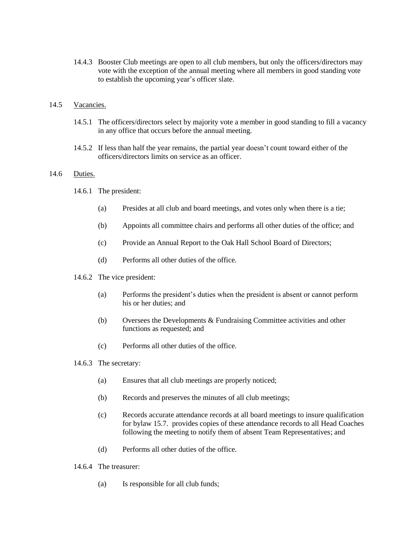14.4.3 Booster Club meetings are open to all club members, but only the officers/directors may vote with the exception of the annual meeting where all members in good standing vote to establish the upcoming year's officer slate.

#### 14.5 Vacancies.

- 14.5.1 The officers/directors select by majority vote a member in good standing to fill a vacancy in any office that occurs before the annual meeting.
- 14.5.2 If less than half the year remains, the partial year doesn't count toward either of the officers/directors limits on service as an officer.

# 14.6 Duties.

- 14.6.1 The president:
	- (a) Presides at all club and board meetings, and votes only when there is a tie;
	- (b) Appoints all committee chairs and performs all other duties of the office; and
	- (c) Provide an Annual Report to the Oak Hall School Board of Directors;
	- (d) Performs all other duties of the office.
- 14.6.2 The vice president:
	- (a) Performs the president's duties when the president is absent or cannot perform his or her duties; and
	- (b) Oversees the Developments & Fundraising Committee activities and other functions as requested; and
	- (c) Performs all other duties of the office.
- 14.6.3 The secretary:
	- (a) Ensures that all club meetings are properly noticed;
	- (b) Records and preserves the minutes of all club meetings;
	- (c) Records accurate attendance records at all board meetings to insure qualification for bylaw 15.7. provides copies of these attendance records to all Head Coaches following the meeting to notify them of absent Team Representatives; and
	- (d) Performs all other duties of the office.
- 14.6.4 The treasurer:
	- (a) Is responsible for all club funds;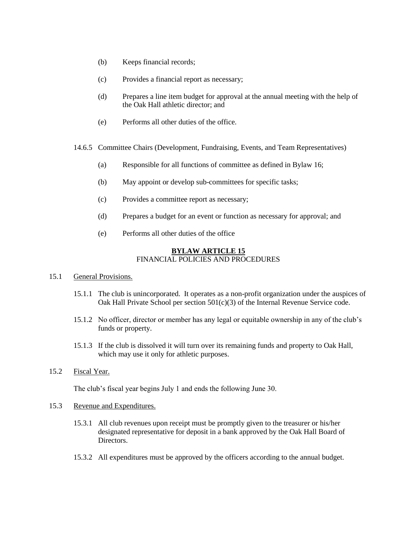- (b) Keeps financial records;
- (c) Provides a financial report as necessary;
- (d) Prepares a line item budget for approval at the annual meeting with the help of the Oak Hall athletic director; and
- (e) Performs all other duties of the office.
- 14.6.5 Committee Chairs (Development, Fundraising, Events, and Team Representatives)
	- (a) Responsible for all functions of committee as defined in Bylaw 16;
	- (b) May appoint or develop sub-committees for specific tasks;
	- (c) Provides a committee report as necessary;
	- (d) Prepares a budget for an event or function as necessary for approval; and
	- (e) Performs all other duties of the office

#### **BYLAW ARTICLE 15** FINANCIAL POLICIES AND PROCEDURES

- 15.1 General Provisions.
	- 15.1.1 The club is unincorporated. It operates as a non-profit organization under the auspices of Oak Hall Private School per section 501(c)(3) of the Internal Revenue Service code.
	- 15.1.2 No officer, director or member has any legal or equitable ownership in any of the club's funds or property.
	- 15.1.3 If the club is dissolved it will turn over its remaining funds and property to Oak Hall, which may use it only for athletic purposes.
- 15.2 Fiscal Year.

The club's fiscal year begins July 1 and ends the following June 30.

- 15.3 Revenue and Expenditures.
	- 15.3.1 All club revenues upon receipt must be promptly given to the treasurer or his/her designated representative for deposit in a bank approved by the Oak Hall Board of **Directors**
	- 15.3.2 All expenditures must be approved by the officers according to the annual budget.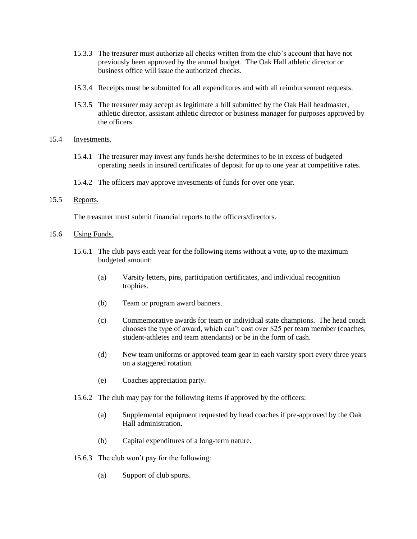- 15.3.3 The treasurer must authorize all checks written from the club's account that have not previously been approved by the annual budget. The Oak Hall athletic director or business office will issue the authorized checks.
- 15.3.4 Receipts must be submitted for all expenditures and with all reimbursement requests.
- 15.3.5 The treasurer may accept as legitimate a bill submitted by the Oak Hall headmaster, athletic director, assistant athletic director or business manager for purposes approved by the officers.

## 15.4 Investments.

- 15.4.1 The treasurer may invest any funds he/she determines to be in excess of budgeted operating needs in insured certificates of deposit for up to one year at competitive rates.
- 15.4.2 The officers may approve investments of funds for over one year.

# 15.5 Reports.

The treasurer must submit financial reports to the officers/directors.

#### 15.6 Using Funds.

- 15.6.1 The club pays each year for the following items without a vote, up to the maximum budgeted amount:
	- (a) Varsity letters, pins, participation certificates, and individual recognition trophies.
	- (b) Team or program award banners.
	- (c) Commemorative awards for team or individual state champions. The head coach chooses the type of award, which can't cost over \$25 per team member (coaches, student-athletes and team attendants) or be in the form of cash.
	- (d) New team uniforms or approved team gear in each varsity sport every three years on a staggered rotation.
	- (e) Coaches appreciation party.
- 15.6.2 The club may pay for the following items if approved by the officers:
	- (a) Supplemental equipment requested by head coaches if pre-approved by the Oak Hall administration.
	- (b) Capital expenditures of a long-term nature.
- 15.6.3 The club won't pay for the following:
	- (a) Support of club sports.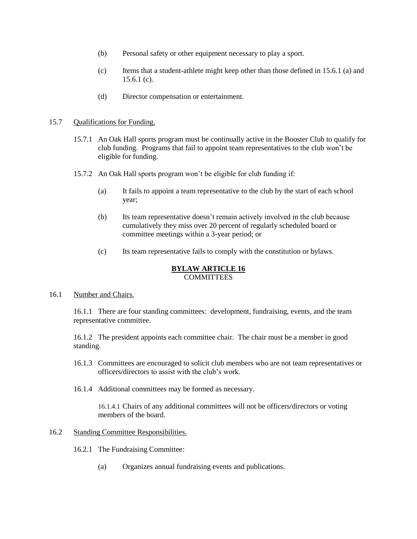- (b) Personal safety or other equipment necessary to play a sport.
- (c) Items that a student-athlete might keep other than those defined in 15.6.1 (a) and  $15.6.1$  (c).
- (d) Director compensation or entertainment.

#### 15.7 Qualifications for Funding.

- 15.7.1 An Oak Hall sports program must be continually active in the Booster Club to qualify for club funding. Programs that fail to appoint team representatives to the club won't be eligible for funding.
- 15.7.2 An Oak Hall sports program won't be eligible for club funding if:
	- (a) It fails to appoint a team representative to the club by the start of each school year;
	- (b) Its team representative doesn't remain actively involved in the club because cumulatively they miss over 20 percent of regularly scheduled board or committee meetings within a 3-year period; or
	- (c) Its team representative fails to comply with the constitution or bylaws.

## **BYLAW ARTICLE 16** COMMITTEES

#### 16.1 Number and Chairs.

16.1.1 There are four standing committees: development, fundraising, events, and the team representative committee.

16.1.2 The president appoints each committee chair. The chair must be a member in good standing.

- 16.1.3 Committees are encouraged to solicit club members who are not team representatives or officers/directors to assist with the club's work.
- 16.1.4 Additional committees may be formed as necessary.

16.1.4.1 Chairs of any additional committees will not be officers/directors or voting members of the board.

#### 16.2 Standing Committee Responsibilities.

- 16.2.1 The Fundraising Committee:
	- (a) Organizes annual fundraising events and publications.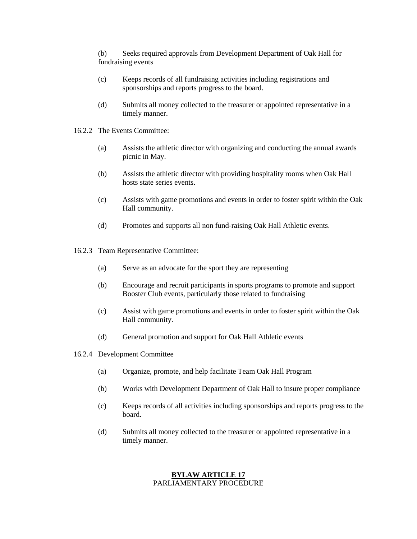(b) Seeks required approvals from Development Department of Oak Hall for fundraising events

- (c) Keeps records of all fundraising activities including registrations and sponsorships and reports progress to the board.
- (d) Submits all money collected to the treasurer or appointed representative in a timely manner.
- 16.2.2 The Events Committee:
	- (a) Assists the athletic director with organizing and conducting the annual awards picnic in May.
	- (b) Assists the athletic director with providing hospitality rooms when Oak Hall hosts state series events.
	- (c) Assists with game promotions and events in order to foster spirit within the Oak Hall community.
	- (d) Promotes and supports all non fund-raising Oak Hall Athletic events.
- 16.2.3 Team Representative Committee:
	- (a) Serve as an advocate for the sport they are representing
	- (b) Encourage and recruit participants in sports programs to promote and support Booster Club events, particularly those related to fundraising
	- (c) Assist with game promotions and events in order to foster spirit within the Oak Hall community.
	- (d) General promotion and support for Oak Hall Athletic events
- 16.2.4 Development Committee
	- (a) Organize, promote, and help facilitate Team Oak Hall Program
	- (b) Works with Development Department of Oak Hall to insure proper compliance
	- (c) Keeps records of all activities including sponsorships and reports progress to the board.
	- (d) Submits all money collected to the treasurer or appointed representative in a timely manner.

# **BYLAW ARTICLE 17** PARLIAMENTARY PROCEDURE